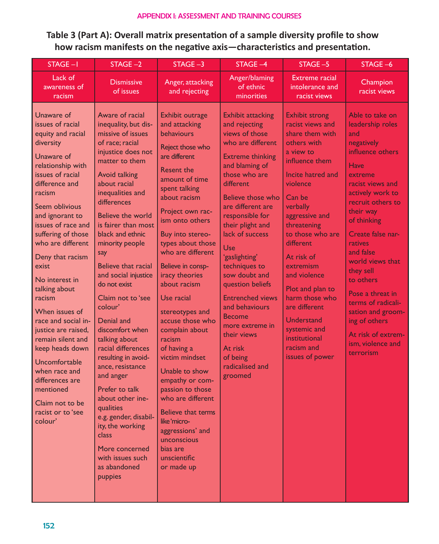## APPENDIX I: ASSESSMENT AND TRAINING COURSES

**Table 3 (Part A): Overall matrix presentation of a sample diversity profile to show how racism manifests on the negative axis—characteristics and presentation.**

| STAGE-I                                                                                                                                                                                                                                                                                                                                                                                                                                                                                                                                                          | STAGE-2                                                                                                                                                                                                                                                                                                                                                                                                                                                                                                                                                                                                                                                                                        | $STAGE -3$                                                                                                                                                                                                                                                                                                                                                                                                                                                                                                                                                                                                                                 | STAGE-4                                                                                                                                                                                                                                                                                                                                                                                                                                                                                            | STAGE-5                                                                                                                                                                                                                                                                                                                                                                                                               | STAGE-6                                                                                                                                                                                                                                                                                                                                                                                                                     |
|------------------------------------------------------------------------------------------------------------------------------------------------------------------------------------------------------------------------------------------------------------------------------------------------------------------------------------------------------------------------------------------------------------------------------------------------------------------------------------------------------------------------------------------------------------------|------------------------------------------------------------------------------------------------------------------------------------------------------------------------------------------------------------------------------------------------------------------------------------------------------------------------------------------------------------------------------------------------------------------------------------------------------------------------------------------------------------------------------------------------------------------------------------------------------------------------------------------------------------------------------------------------|--------------------------------------------------------------------------------------------------------------------------------------------------------------------------------------------------------------------------------------------------------------------------------------------------------------------------------------------------------------------------------------------------------------------------------------------------------------------------------------------------------------------------------------------------------------------------------------------------------------------------------------------|----------------------------------------------------------------------------------------------------------------------------------------------------------------------------------------------------------------------------------------------------------------------------------------------------------------------------------------------------------------------------------------------------------------------------------------------------------------------------------------------------|-----------------------------------------------------------------------------------------------------------------------------------------------------------------------------------------------------------------------------------------------------------------------------------------------------------------------------------------------------------------------------------------------------------------------|-----------------------------------------------------------------------------------------------------------------------------------------------------------------------------------------------------------------------------------------------------------------------------------------------------------------------------------------------------------------------------------------------------------------------------|
| Lack of<br>awareness of<br>racism                                                                                                                                                                                                                                                                                                                                                                                                                                                                                                                                | <b>Dismissive</b><br>of issues                                                                                                                                                                                                                                                                                                                                                                                                                                                                                                                                                                                                                                                                 | Anger, attacking<br>and rejecting                                                                                                                                                                                                                                                                                                                                                                                                                                                                                                                                                                                                          | Anger/blaming<br>of ethnic<br>minorities                                                                                                                                                                                                                                                                                                                                                                                                                                                           | <b>Extreme racial</b><br>intolerance and<br>racist views                                                                                                                                                                                                                                                                                                                                                              | Champion<br>racist views                                                                                                                                                                                                                                                                                                                                                                                                    |
| Unaware of<br>issues of racial<br>equity and racial<br>diversity<br>Unaware of<br>relationship with<br>issues of racial<br>difference and<br>racism<br>Seem oblivious<br>and ignorant to<br>issues of race and<br>suffering of those<br>who are different<br>Deny that racism<br>exist<br>No interest in<br>talking about<br>racism<br>When issues of<br>race and social in-<br>justice are raised,<br>remain silent and<br>keep heads down<br>Uncomfortable<br>when race and<br>differences are<br>mentioned<br>Claim not to be<br>racist or to 'see<br>colour' | Aware of racial<br>inequality, but dis-<br>missive of issues<br>of race; racial<br>injustice does not<br>matter to them<br>Avoid talking<br>about racial<br>inequalities and<br>differences<br>Believe the world<br>is fairer than most<br>black and ethnic<br>minority people<br>say<br>Believe that racial<br>and social injustice<br>do not exist<br>Claim not to 'see<br>colour'<br>Denial and<br>discomfort when<br>talking about<br>racial differences<br>resulting in avoid-<br>ance, resistance<br>and anger<br>Prefer to talk<br>about other ine-<br>qualities<br>e.g. gender, disabil-<br>ity, the working<br>class<br>More concerned<br>with issues such<br>as abandoned<br>puppies | Exhibit outrage<br>and attacking<br>behaviours<br>Reject those who<br>are different<br><b>Resent the</b><br>amount of time<br>spent talking<br>about racism<br>Project own rac-<br>ism onto others<br>Buy into stereo-<br>types about those<br>who are different<br>Believe in consp-<br>iracy theories<br>about racism<br>Use racial<br>stereotypes and<br>accuse those who<br>complain about<br>racism<br>of having a<br>victim mindset<br>Unable to show<br>empathy or com-<br>passion to those<br>who are different<br>Believe that terms<br>like 'micro-<br>aggressions' and<br>unconscious<br>bias are<br>unscientific<br>or made up | <b>Exhibit attacking</b><br>and rejecting<br>views of those<br>who are different<br><b>Extreme thinking</b><br>and blaming of<br>those who are<br>different<br>Believe those who<br>are different are<br>responsible for<br>their plight and<br>lack of success<br>Use<br>'gaslighting'<br>techniques to<br>sow doubt and<br>question beliefs<br><b>Entrenched views</b><br>and behaviours<br><b>Become</b><br>more extreme in<br>their views<br>At risk<br>of being<br>radicalised and<br>groomed | <b>Exhibit strong</b><br>racist views and<br>share them with<br>others with<br>a view to<br>influence them<br>Incite hatred and<br>violence<br>Can be<br>verbally<br>aggressive and<br>threatening<br>to those who are<br>different<br>At risk of<br>extremism<br>and violence<br>Plot and plan to<br>harm those who<br>are different<br>Understand<br>systemic and<br>institutional<br>racism and<br>issues of power | Able to take on<br>leadership roles<br>and<br>negatively<br>influence others<br>Have<br>extreme<br>racist views and<br>actively work to<br>recruit others to<br>their way<br>of thinking<br>Create false nar-<br>ratives<br>and false<br>world views that<br>they sell<br>to others<br>Pose a threat in<br>terms of radicali-<br>sation and groom-<br>ing of others<br>At risk of extrem-<br>ism, violence and<br>terrorism |